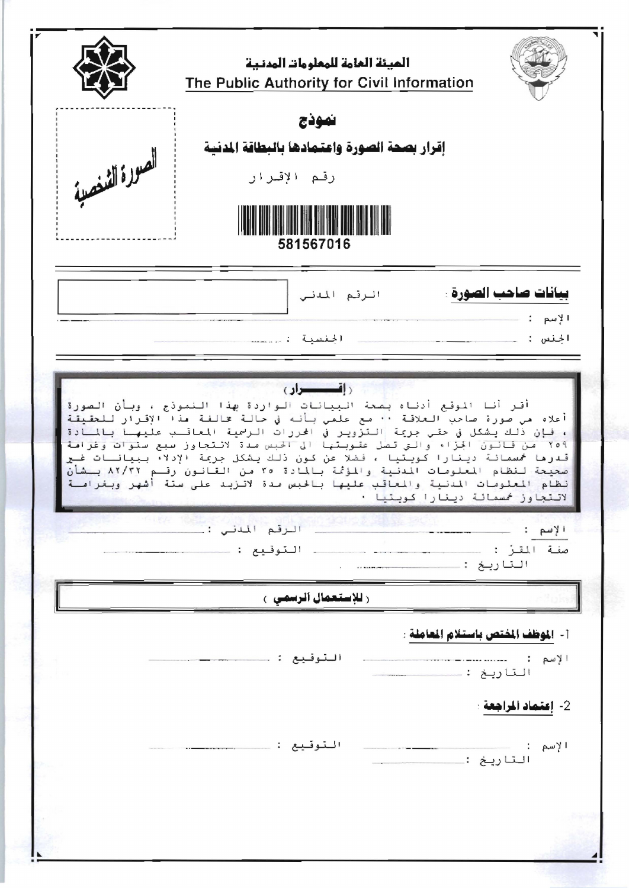|                | الميئة العامة للمعلومات المدنية<br>The Public Authority for Civil Information<br>نموذج                                                                                 |                                                                                                                                                                                                                                                                                                                                                                                                                                                                   |
|----------------|------------------------------------------------------------------------------------------------------------------------------------------------------------------------|-------------------------------------------------------------------------------------------------------------------------------------------------------------------------------------------------------------------------------------------------------------------------------------------------------------------------------------------------------------------------------------------------------------------------------------------------------------------|
| العودة الشنصية | إقرار بصحة الصورة واعتمادها بالبطاقة المدنية<br>رقم الإقىرار<br>581567016                                                                                              |                                                                                                                                                                                                                                                                                                                                                                                                                                                                   |
|                | الرقم المدنى<br>الحنسية                                                                                                                                                | بيانات صاحب الصورة :<br>الإسم<br>الجنس : __                                                                                                                                                                                                                                                                                                                                                                                                                       |
|                | <u>(إقسطوار)</u><br>أقر أنا الموقع أدناه بصعة البيانات الواردة بهذا التموذج ، وبأن الصورة<br>من قانون الجزاء والتي تصل عقوبتها الي الحبس صدة لائتجاوز سبع سنوات وغرامة | أعلاه من صورة صاحب العلاقة ٠٠ مع علمي بأنه في حالة مخالفة مذ١ الإقرار للحقيقة<br>، فإن ذلك يشكل في حتى جريمة التزوير في الحررات الرسمية المعاقليب عليهلا بالملادة<br>Y09<br>قدرها خمسمائة دينارا كويتيا ، فضلا عن كون ذلك يشكل جريمة الإدلاء ببيانـات غـير<br>صحيحة لنظام المعلومات المدنية والمؤتمة بالمادة ٢٥ من القانون رقـم ٨٢/٢٢ بـشأن<br>نظام المعلومات المدنية والمعاقب عليها بالحبس صدة لاتزبد على ستة أشهر وبغرامــة<br>لاتتجاوز خمسمائة دينارا كويتيا · |
|                | التوقيع :                                                                                                                                                              | الإسم :<br>صفة المقرّ :<br>التاريخ :                                                                                                                                                                                                                                                                                                                                                                                                                              |
|                | ر <b>للإستعمال الرسمی</b> ع                                                                                                                                            |                                                                                                                                                                                                                                                                                                                                                                                                                                                                   |
|                | التوقيع :                                                                                                                                                              | [- الموظف المفتص باستلام العاملة :<br>الإسم :<br>التاريخ :.                                                                                                                                                                                                                                                                                                                                                                                                       |
|                | التوقيع :                                                                                                                                                              | 2- إعتماد المراجعة :<br>الإسم :<br>التاريخ :                                                                                                                                                                                                                                                                                                                                                                                                                      |
|                |                                                                                                                                                                        |                                                                                                                                                                                                                                                                                                                                                                                                                                                                   |